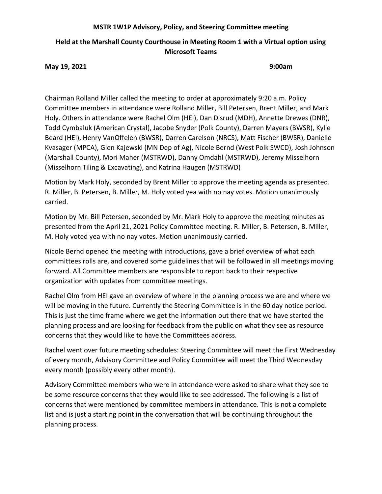## **MSTR 1W1P Advisory, Policy, and Steering Committee meeting**

# **Held at the Marshall County Courthouse in Meeting Room 1 with a Virtual option using Microsoft Teams**

**May 19, 2021 9:00am**

Chairman Rolland Miller called the meeting to order at approximately 9:20 a.m. Policy Committee members in attendance were Rolland Miller, Bill Petersen, Brent Miller, and Mark Holy. Others in attendance were Rachel Olm (HEI), Dan Disrud (MDH), Annette Drewes (DNR), Todd Cymbaluk (American Crystal), Jacobe Snyder (Polk County), Darren Mayers (BWSR), Kylie Beard (HEI), Henry VanOffelen (BWSR), Darren Carelson (NRCS), Matt Fischer (BWSR), Danielle Kvasager (MPCA), Glen Kajewski (MN Dep of Ag), Nicole Bernd (West Polk SWCD), Josh Johnson (Marshall County), Mori Maher (MSTRWD), Danny Omdahl (MSTRWD), Jeremy Misselhorn (Misselhorn Tiling & Excavating), and Katrina Haugen (MSTRWD)

Motion by Mark Holy, seconded by Brent Miller to approve the meeting agenda as presented. R. Miller, B. Petersen, B. Miller, M. Holy voted yea with no nay votes. Motion unanimously carried.

Motion by Mr. Bill Petersen, seconded by Mr. Mark Holy to approve the meeting minutes as presented from the April 21, 2021 Policy Committee meeting. R. Miller, B. Petersen, B. Miller, M. Holy voted yea with no nay votes. Motion unanimously carried.

Nicole Bernd opened the meeting with introductions, gave a brief overview of what each committees rolls are, and covered some guidelines that will be followed in all meetings moving forward. All Committee members are responsible to report back to their respective organization with updates from committee meetings.

Rachel Olm from HEI gave an overview of where in the planning process we are and where we will be moving in the future. Currently the Steering Committee is in the 60 day notice period. This is just the time frame where we get the information out there that we have started the planning process and are looking for feedback from the public on what they see as resource concerns that they would like to have the Committees address.

Rachel went over future meeting schedules: Steering Committee will meet the First Wednesday of every month, Advisory Committee and Policy Committee will meet the Third Wednesday every month (possibly every other month).

Advisory Committee members who were in attendance were asked to share what they see to be some resource concerns that they would like to see addressed. The following is a list of concerns that were mentioned by committee members in attendance. This is not a complete list and is just a starting point in the conversation that will be continuing throughout the planning process.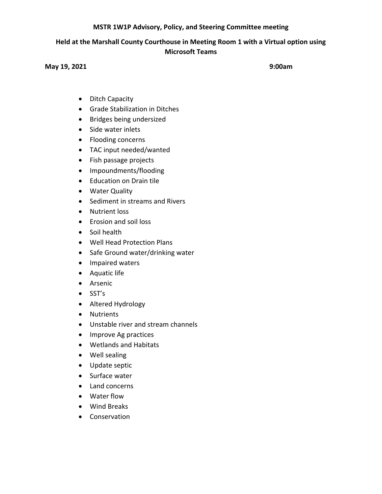## **MSTR 1W1P Advisory, Policy, and Steering Committee meeting**

# **Held at the Marshall County Courthouse in Meeting Room 1 with a Virtual option using Microsoft Teams**

#### **May 19, 2021 9:00am**

- Ditch Capacity
- Grade Stabilization in Ditches
- Bridges being undersized
- Side water inlets
- Flooding concerns
- TAC input needed/wanted
- Fish passage projects
- Impoundments/flooding
- Education on Drain tile
- Water Quality
- Sediment in streams and Rivers
- Nutrient loss
- Erosion and soil loss
- Soil health
- Well Head Protection Plans
- Safe Ground water/drinking water
- Impaired waters
- Aquatic life
- Arsenic
- SST's
- Altered Hydrology
- Nutrients
- Unstable river and stream channels
- Improve Ag practices
- Wetlands and Habitats
- Well sealing
- Update septic
- Surface water
- Land concerns
- Water flow
- Wind Breaks
- Conservation